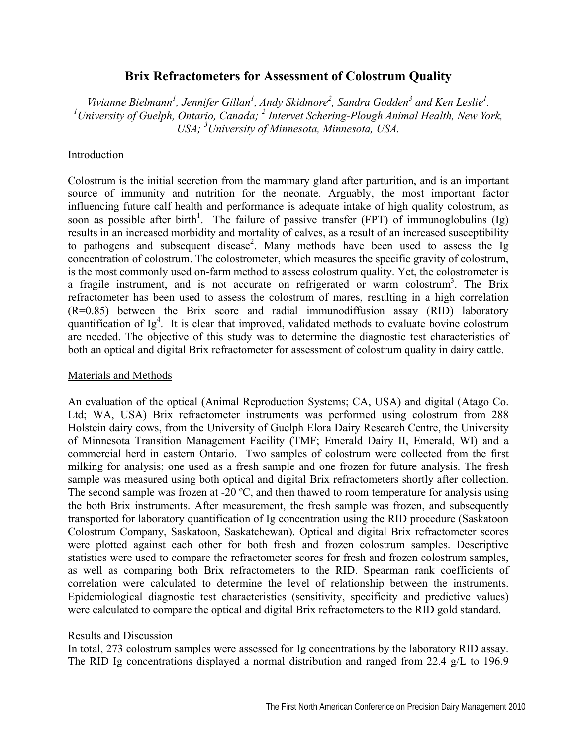# **Brix Refractometers for Assessment of Colostrum Quality**

*Vivianne Bielmann<sup>1</sup>, Jennifer Gillan<sup>1</sup>, Andy Skidmore<sup>2</sup>, Sandra Godden<sup>3</sup> and Ken Leslie<sup>1</sup>.<br><sup>1</sup> University of Guelph, Ontario, Ganada; <sup>2</sup> Internet Schering Pleygh Arimal Health, New Yor* University of Guelph, Ontario, Canada; <sup>2</sup> Intervet Schering-Plough Animal Health, New York, *USA; <sup>3</sup> University of Minnesota, Minnesota, USA.* 

## Introduction

Colostrum is the initial secretion from the mammary gland after parturition, and is an important source of immunity and nutrition for the neonate. Arguably, the most important factor influencing future calf health and performance is adequate intake of high quality colostrum, as soon as possible after birth<sup>1</sup>. The failure of passive transfer (FPT) of immunoglobulins (Ig) results in an increased morbidity and mortality of calves, as a result of an increased susceptibility to pathogens and subsequent disease<sup>2</sup>. Many methods have been used to assess the Ig concentration of colostrum. The colostrometer, which measures the specific gravity of colostrum, is the most commonly used on-farm method to assess colostrum quality. Yet, the colostrometer is a fragile instrument, and is not accurate on refrigerated or warm colostrum<sup>3</sup>. The Brix refractometer has been used to assess the colostrum of mares, resulting in a high correlation (R=0.85) between the Brix score and radial immunodiffusion assay (RID) laboratory quantification of  $Ig<sup>4</sup>$ . It is clear that improved, validated methods to evaluate bovine colostrum are needed. The objective of this study was to determine the diagnostic test characteristics of both an optical and digital Brix refractometer for assessment of colostrum quality in dairy cattle.

### Materials and Methods

An evaluation of the optical (Animal Reproduction Systems; CA, USA) and digital (Atago Co. Ltd; WA, USA) Brix refractometer instruments was performed using colostrum from 288 Holstein dairy cows, from the University of Guelph Elora Dairy Research Centre, the University of Minnesota Transition Management Facility (TMF; Emerald Dairy II, Emerald, WI) and a commercial herd in eastern Ontario. Two samples of colostrum were collected from the first milking for analysis; one used as a fresh sample and one frozen for future analysis. The fresh sample was measured using both optical and digital Brix refractometers shortly after collection. The second sample was frozen at -20 °C, and then thawed to room temperature for analysis using the both Brix instruments. After measurement, the fresh sample was frozen, and subsequently transported for laboratory quantification of Ig concentration using the RID procedure (Saskatoon Colostrum Company, Saskatoon, Saskatchewan). Optical and digital Brix refractometer scores were plotted against each other for both fresh and frozen colostrum samples. Descriptive statistics were used to compare the refractometer scores for fresh and frozen colostrum samples, as well as comparing both Brix refractometers to the RID. Spearman rank coefficients of correlation were calculated to determine the level of relationship between the instruments. Epidemiological diagnostic test characteristics (sensitivity, specificity and predictive values) were calculated to compare the optical and digital Brix refractometers to the RID gold standard.

#### Results and Discussion

In total, 273 colostrum samples were assessed for Ig concentrations by the laboratory RID assay. The RID Ig concentrations displayed a normal distribution and ranged from 22.4 g/L to 196.9